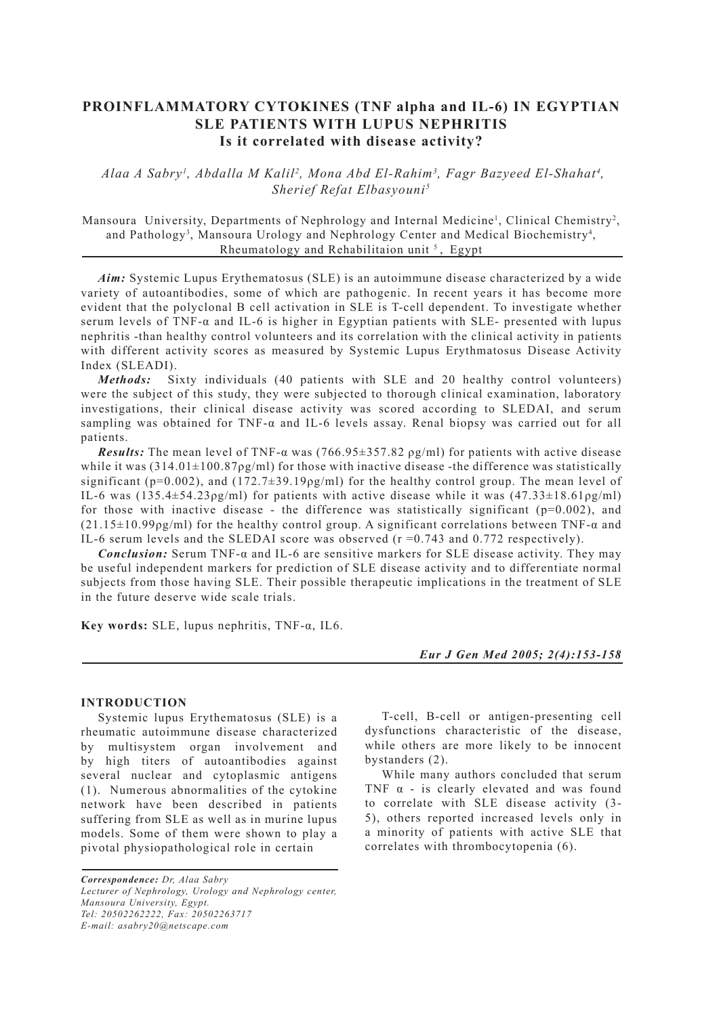# **PROINFLAMMATORY CYTOKINES (TNF alpha and IL-6) IN EGYPTIAN SLE PATIENTS WITH LUPUS NEPHRITIS Is it correlated with disease activity?**

Alaa A Sabry<sup>1</sup>, Abdalla M Kalil<sup>2</sup>, Mona Abd El-Rahim<sup>3</sup>, Fagr Bazyeed El-Shahat<sup>4</sup>, *Sherief Refat Elbasyouni5*

Mansoura University, Departments of Nephrology and Internal Medicine<sup>1</sup>, Clinical Chemistry<sup>2</sup>, and Pathology<sup>3</sup>, Mansoura Urology and Nephrology Center and Medical Biochemistry<sup>4</sup>, Rheumatology and Rehabilitaion unit  $5$ , Egypt

*Aim:* Systemic Lupus Erythematosus (SLE) is an autoimmune disease characterized by a wide variety of autoantibodies, some of which are pathogenic. In recent years it has become more evident that the polyclonal B cell activation in SLE is T-cell dependent. To investigate whether serum levels of TNF- $\alpha$  and IL-6 is higher in Egyptian patients with SLE- presented with lupus nephritis -than healthy control volunteers and its correlation with the clinical activity in patients with different activity scores as measured by Systemic Lupus Erythmatosus Disease Activity Index (SLEADI).

*Methods:* Sixty individuals (40 patients with SLE and 20 healthy control volunteers) were the subject of this study, they were subjected to thorough clinical examination, laboratory investigations, their clinical disease activity was scored according to SLEDAI, and serum sampling was obtained for TNF- $\alpha$  and IL-6 levels assay. Renal biopsy was carried out for all patients.

*Results:* The mean level of TNF- $\alpha$  was (766.95±357.82  $\rho g/ml$ ) for patients with active disease while it was  $(314.01\pm100.87 \text{pg/ml})$  for those with inactive disease -the difference was statistically significant (p=0.002), and (172.7 $\pm$ 39.19 $\frac{\rho g}{m}$ ) for the healthy control group. The mean level of IL-6 was  $(135.4\pm54.23 \text{pg/ml})$  for patients with active disease while it was  $(47.33\pm18.61 \text{pg/ml})$ for those with inactive disease - the difference was statistically significant ( $p=0.002$ ), and  $(21.15\pm10.99\rho g/ml)$  for the healthy control group. A significant correlations between TNF- $\alpha$  and IL-6 serum levels and the SLEDAI score was observed  $(r=0.743$  and 0.772 respectively).

*Conclusion:* Serum TNF-α and IL-6 are sensitive markers for SLE disease activity. They may be useful independent markers for prediction of SLE disease activity and to differentiate normal subjects from those having SLE. Their possible therapeutic implications in the treatment of SLE in the future deserve wide scale trials.

**Key words:** SLE, lupus nephritis, TNF-α, IL6.

*Eur J Gen Med 2005; 2(4):153-158*

#### **INTRODUCTION**

Systemic lupus Erythematosus (SLE) is a rheumatic autoimmune disease characterized by multisystem organ involvement and by high titers of autoantibodies against several nuclear and cytoplasmic antigens (1). Numerous abnormalities of the cytokine network have been described in patients suffering from SLE as well as in murine lupus models. Some of them were shown to play a pivotal physiopathological role in certain

*Correspondence: Dr, Alaa Sabry Lecturer of Nephrology, Urology and Nephrology center, Mansoura University, Egypt. Tel: 20502262222, Fax: 20502263717 E-mail: asabry20@netscape.com*

T-cell, B-cell or antigen-presenting cell dysfunctions characteristic of the disease, while others are more likely to be innocent bystanders (2).

While many authors concluded that serum TNF  $\alpha$  - is clearly elevated and was found to correlate with SLE disease activity (3- 5), others reported increased levels only in a minority of patients with active SLE that correlates with thrombocytopenia (6).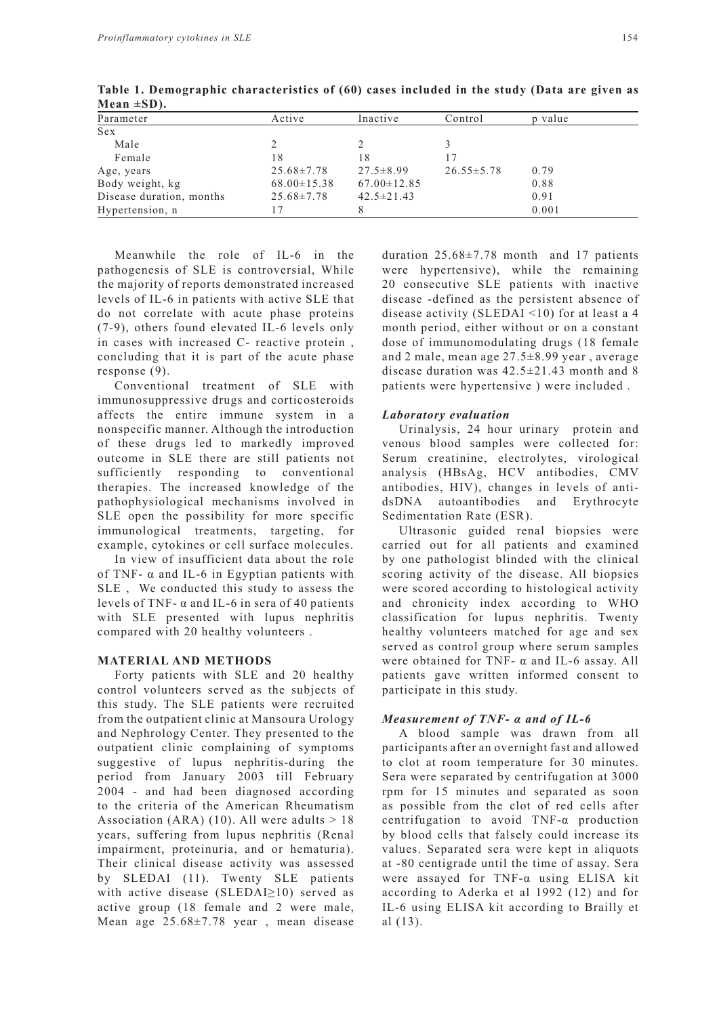| $111 \times 111 - 0111$  |                   |                   |                  |         |
|--------------------------|-------------------|-------------------|------------------|---------|
| Parameter                | Active            | Inactive          | Control          | p value |
| Sex                      |                   |                   |                  |         |
| Male                     |                   |                   |                  |         |
| Female                   | 18                | 18                |                  |         |
| Age, years               | $25.68 \pm 7.78$  | $27.5 \pm 8.99$   | $26.55 \pm 5.78$ | 0.79    |
| Body weight, kg          | $68.00 \pm 15.38$ | $67.00 \pm 12.85$ |                  | 0.88    |
| Disease duration, months | $25.68 \pm 7.78$  | $42.5 \pm 21.43$  |                  | 0.91    |
| Hypertension, n          |                   |                   |                  | 0.001   |

**Table 1. Demographic characteristics of (60) cases included in the study (Data are given as Mean ±SD).**

Meanwhile the role of IL-6 in the pathogenesis of SLE is controversial, While the majority of reports demonstrated increased levels of IL-6 in patients with active SLE that do not correlate with acute phase proteins (7-9), others found elevated IL-6 levels only in cases with increased C- reactive protein , concluding that it is part of the acute phase response (9).

Conventional treatment of SLE with immunosuppressive drugs and corticosteroids affects the entire immune system in a nonspecific manner. Although the introduction of these drugs led to markedly improved outcome in SLE there are still patients not sufficiently responding to conventional therapies. The increased knowledge of the pathophysiological mechanisms involved in SLE open the possibility for more specific immunological treatments, targeting, for example, cytokines or cell surface molecules.

In view of insufficient data about the role of TNF- $\alpha$  and IL-6 in Egyptian patients with SLE , We conducted this study to assess the levels of TNF- $\alpha$  and IL-6 in sera of 40 patients with SLE presented with lupus nephritis compared with 20 healthy volunteers .

#### **MATERIAL AND METHODS**

Forty patients with SLE and 20 healthy control volunteers served as the subjects of this study. The SLE patients were recruited from the outpatient clinic at Mansoura Urology and Nephrology Center. They presented to the outpatient clinic complaining of symptoms suggestive of lupus nephritis-during the period from January 2003 till February 2004 - and had been diagnosed according to the criteria of the American Rheumatism Association (ARA) (10). All were adults  $> 18$ years, suffering from lupus nephritis (Renal impairment, proteinuria, and or hematuria). Their clinical disease activity was assessed by SLEDAI (11). Twenty SLE patients with active disease (SLEDAI≥10) served as active group (18 female and 2 were male, Mean age 25.68±7.78 year , mean disease duration 25.68±7.78 month and 17 patients were hypertensive), while the remaining 20 consecutive SLE patients with inactive disease -defined as the persistent absence of disease activity (SLEDAI <10) for at least a 4 month period, either without or on a constant dose of immunomodulating drugs (18 female and 2 male, mean age 27.5±8.99 year , average disease duration was 42.5±21.43 month and 8 patients were hypertensive ) were included .

## *Laboratory evaluation*

Urinalysis, 24 hour urinary protein and venous blood samples were collected for: Serum creatinine, electrolytes, virological analysis (HBsAg, HCV antibodies, CMV antibodies, HIV), changes in levels of antidsDNA autoantibodies and Erythrocyte Sedimentation Rate (ESR).

Ultrasonic guided renal biopsies were carried out for all patients and examined by one pathologist blinded with the clinical scoring activity of the disease. All biopsies were scored according to histological activity and chronicity index according to WHO classification for lupus nephritis. Twenty healthy volunteers matched for age and sex served as control group where serum samples were obtained for TNF-  $\alpha$  and IL-6 assay. All patients gave written informed consent to participate in this study.

# *Measurement of TNF- α and of IL-6*

A blood sample was drawn from all participants after an overnight fast and allowed to clot at room temperature for 30 minutes. Sera were separated by centrifugation at 3000 rpm for 15 minutes and separated as soon as possible from the clot of red cells after centrifugation to avoid TNF-α production by blood cells that falsely could increase its values. Separated sera were kept in aliquots at -80 centigrade until the time of assay. Sera were assayed for TNF-α using ELISA kit according to Aderka et al 1992 (12) and for IL-6 using ELISA kit according to Brailly et al (13).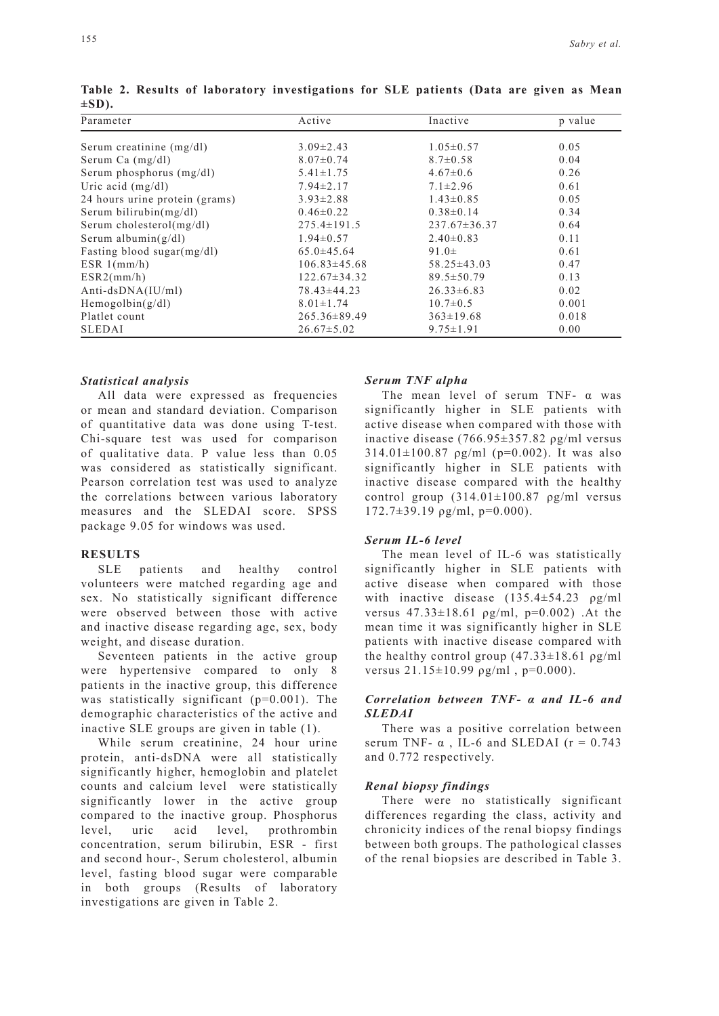| Parameter                      | Active             | Inactive           | p value |  |
|--------------------------------|--------------------|--------------------|---------|--|
| Serum creatinine (mg/dl)       | $3.09 \pm 2.43$    | $1.05 \pm 0.57$    | 0.05    |  |
| Serum Ca (mg/dl)               | $8.07 \pm 0.74$    | $8.7 \pm 0.58$     | 0.04    |  |
| Serum phosphorus (mg/dl)       | $5.41 \pm 1.75$    | $4.67 \pm 0.6$     | 0.26    |  |
| Uric acid $(mg/dl)$            | $7.94 \pm 2.17$    | $7.1 \pm 2.96$     | 0.61    |  |
| 24 hours urine protein (grams) | $3.93 \pm 2.88$    | $1.43 \pm 0.85$    | 0.05    |  |
| Serum bilirubin(mg/dl)         | $0.46 \pm 0.22$    | $0.38 \pm 0.14$    | 0.34    |  |
| Serum cholesterol $(mg/dl)$    | $275.4 \pm 191.5$  | $237.67 \pm 36.37$ | 0.64    |  |
| Serum albumin $(g/dl)$         | $1.94\pm0.57$      | $2.40\pm0.83$      | 0.11    |  |
| Fasting blood sugar(mg/dl)     | $65.0 \pm 45.64$   | 91.0 $\pm$         | 0.61    |  |
| ESR $1(mm/h)$                  | $106.83\pm45.68$   | $58.25 \pm 43.03$  | 0.47    |  |
| ESR2(mm/h)                     | $122.67 \pm 34.32$ | $89.5 \pm 50.79$   | 0.13    |  |
| $Anti-dsDNA(IU/ml)$            | $78.43 \pm 44.23$  | $26.33\pm 6.83$    | 0.02    |  |
| Hemogolbin(g/dl)               | $8.01 \pm 1.74$    | $10.7 \pm 0.5$     | 0.001   |  |
| Platlet count                  | $265.36 \pm 89.49$ | $363 \pm 19.68$    | 0.018   |  |
| <b>SLEDAI</b>                  | $26.67 \pm 5.02$   | $9.75 \pm 1.91$    | 0.00    |  |

**Table 2. Results of laboratory investigations for SLE patients (Data are given as Mean ±SD).**

# *Statistical analysis*

All data were expressed as frequencies or mean and standard deviation. Comparison of quantitative data was done using T-test. Chi-square test was used for comparison of qualitative data. P value less than 0.05 was considered as statistically significant. Pearson correlation test was used to analyze the correlations between various laboratory measures and the SLEDAI score. SPSS package 9.05 for windows was used.

## **RESULTS**

SLE patients and healthy control volunteers were matched regarding age and sex. No statistically significant difference were observed between those with active and inactive disease regarding age, sex, body weight, and disease duration.

Seventeen patients in the active group were hypertensive compared to only 8 patients in the inactive group, this difference was statistically significant (p=0.001). The demographic characteristics of the active and inactive SLE groups are given in table (1).

While serum creatinine, 24 hour urine protein, anti-dsDNA were all statistically significantly higher, hemoglobin and platelet counts and calcium level were statistically significantly lower in the active group compared to the inactive group. Phosphorus level, uric acid level, prothrombin concentration, serum bilirubin, ESR - first and second hour-, Serum cholesterol, albumin level, fasting blood sugar were comparable in both groups (Results of laboratory investigations are given in Table 2.

#### *Serum TNF alpha*

The mean level of serum TNF- α was significantly higher in SLE patients with active disease when compared with those with inactive disease (766.95±357.82 ρg/ml versus  $314.01 \pm 100.87$  pg/ml (p=0.002). It was also significantly higher in SLE patients with inactive disease compared with the healthy control group  $(314.01 \pm 100.87 \text{ pg/ml}$  versus  $172.7\pm39.19$   $\rho$ g/ml,  $p=0.000$ ).

# *Serum IL-6 level*

The mean level of IL-6 was statistically significantly higher in SLE patients with active disease when compared with those with inactive disease (135.4±54.23 ρg/ml versus  $47.33 \pm 18.61$   $\rho g/ml$ ,  $p=0.002$ ). At the mean time it was significantly higher in SLE patients with inactive disease compared with the healthy control group  $(47.33\pm18.61 \text{ pg/ml})$ versus  $21.15 \pm 10.99$   $\rho$ g/ml,  $p=0.000$ ).

# *Correlation between TNF- α and IL-6 and SLEDAI*

There was a positive correlation between serum TNF-  $\alpha$ , IL-6 and SLEDAI ( $r = 0.743$ ) and 0.772 respectively.

#### *Renal biopsy findings*

There were no statistically significant differences regarding the class, activity and chronicity indices of the renal biopsy findings between both groups. The pathological classes of the renal biopsies are described in Table 3.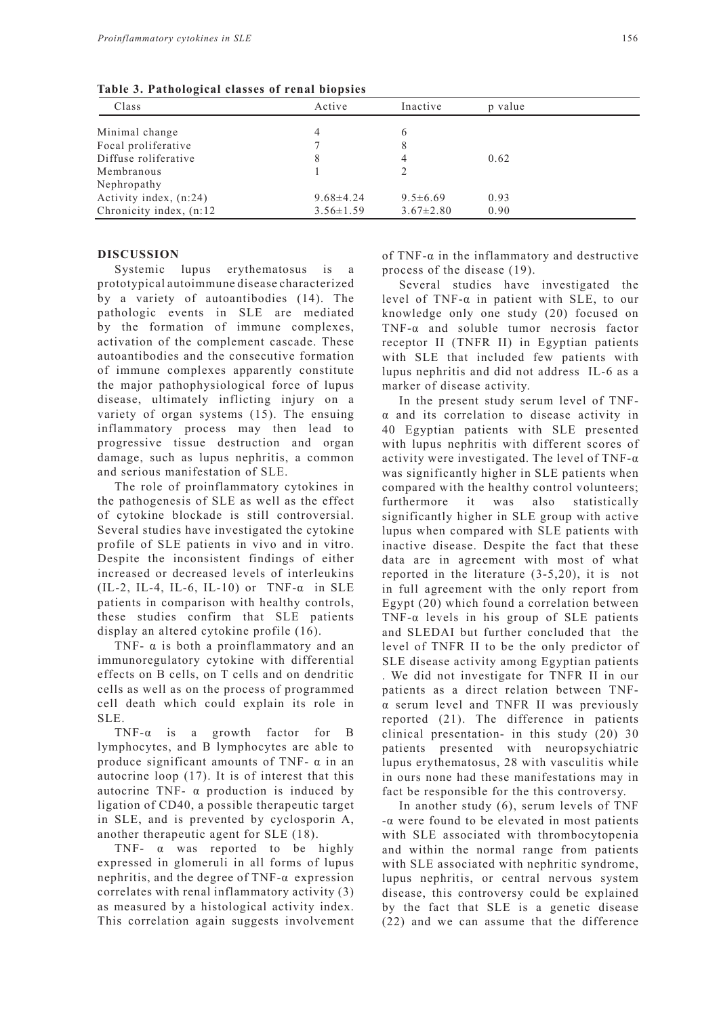| Class                    | Active          | Inactive        | p value |  |
|--------------------------|-----------------|-----------------|---------|--|
|                          |                 |                 |         |  |
| Minimal change           | 4               | 6               |         |  |
| Focal proliferative      |                 | 8               |         |  |
| Diffuse roliferative     | 8               | 4               | 0.62    |  |
| Membranous               |                 |                 |         |  |
| Nephropathy              |                 |                 |         |  |
| Activity index, $(n:24)$ | $9.68 \pm 4.24$ | $9.5 \pm 6.69$  | 0.93    |  |
| Chronicity index, (n:12) | $3.56 \pm 1.59$ | $3.67 \pm 2.80$ | 0.90    |  |

**Table 3. Pathological classes of renal biopsies**

## **DISCUSSION**

Systemic lupus erythematosus is a prototypical autoimmune disease characterized by a variety of autoantibodies (14). The pathologic events in SLE are mediated by the formation of immune complexes, activation of the complement cascade. These autoantibodies and the consecutive formation of immune complexes apparently constitute the major pathophysiological force of lupus disease, ultimately inflicting injury on a variety of organ systems (15). The ensuing inflammatory process may then lead to progressive tissue destruction and organ damage, such as lupus nephritis, a common and serious manifestation of SLE.

The role of proinflammatory cytokines in the pathogenesis of SLE as well as the effect of cytokine blockade is still controversial. Several studies have investigated the cytokine profile of SLE patients in vivo and in vitro. Despite the inconsistent findings of either increased or decreased levels of interleukins (IL-2, IL-4, IL-6, IL-10) or TNF- $\alpha$  in SLE patients in comparison with healthy controls, these studies confirm that SLE patients display an altered cytokine profile (16).

TNF-  $\alpha$  is both a proinflammatory and an immunoregulatory cytokine with differential effects on B cells, on T cells and on dendritic cells as well as on the process of programmed cell death which could explain its role in SLE.

TNF-α is a growth factor for B lymphocytes, and B lymphocytes are able to produce significant amounts of TNF-  $\alpha$  in an autocrine loop (17). It is of interest that this autocrine TNF-  $\alpha$  production is induced by ligation of CD40, a possible therapeutic target in SLE, and is prevented by cyclosporin A, another therapeutic agent for SLE (18).

TNF- α was reported to be highly expressed in glomeruli in all forms of lupus nephritis, and the degree of TNF-α expression correlates with renal inflammatory activity (3) as measured by a histological activity index. This correlation again suggests involvement of TNF-α in the inflammatory and destructive process of the disease (19).

Several studies have investigated the level of TNF-α in patient with SLE, to our knowledge only one study (20) focused on TNF-α and soluble tumor necrosis factor receptor II (TNFR II) in Egyptian patients with SLE that included few patients with lupus nephritis and did not address IL-6 as a marker of disease activity.

In the present study serum level of TNFα and its correlation to disease activity in 40 Egyptian patients with SLE presented with lupus nephritis with different scores of activity were investigated. The level of TNF-α was significantly higher in SLE patients when compared with the healthy control volunteers; furthermore it was also statistically significantly higher in SLE group with active lupus when compared with SLE patients with inactive disease. Despite the fact that these data are in agreement with most of what reported in the literature (3-5,20), it is not in full agreement with the only report from Egypt (20) which found a correlation between TNF-α levels in his group of SLE patients and SLEDAI but further concluded that the level of TNFR II to be the only predictor of SLE disease activity among Egyptian patients

. We did not investigate for TNFR II in our patients as a direct relation between TNFα serum level and TNFR II was previously reported (21). The difference in patients clinical presentation- in this study (20) 30 patients presented with neuropsychiatric lupus erythematosus, 28 with vasculitis while in ours none had these manifestations may in fact be responsible for the this controversy.

In another study (6), serum levels of TNF -α were found to be elevated in most patients with SLE associated with thrombocytopenia and within the normal range from patients with SLE associated with nephritic syndrome, lupus nephritis, or central nervous system disease, this controversy could be explained by the fact that SLE is a genetic disease (22) and we can assume that the difference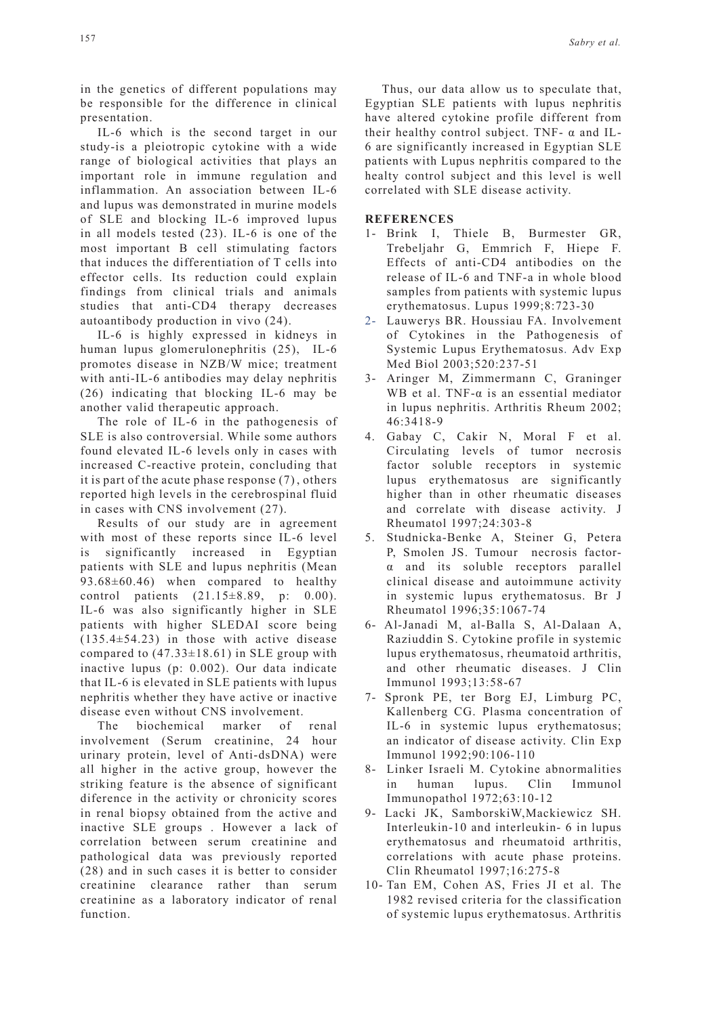in the genetics of different populations may be responsible for the difference in clinical presentation.

IL-6 which is the second target in our study-is a pleiotropic cytokine with a wide range of biological activities that plays an important role in immune regulation and inflammation. An association between IL-6 and lupus was demonstrated in murine models of SLE and blocking IL-6 improved lupus in all models tested (23). IL-6 is one of the most important B cell stimulating factors that induces the differentiation of T cells into effector cells. Its reduction could explain findings from clinical trials and animals studies that anti-CD4 therapy decreases autoantibody production in vivo (24).

IL-6 is highly expressed in kidneys in human lupus glomerulonephritis (25), IL-6 promotes disease in NZB/W mice; treatment with anti-IL-6 antibodies may delay nephritis (26) indicating that blocking IL-6 may be another valid therapeutic approach.

The role of IL-6 in the pathogenesis of SLE is also controversial. While some authors found elevated IL-6 levels only in cases with increased C-reactive protein, concluding that it is part of the acute phase response (7) , others reported high levels in the cerebrospinal fluid in cases with CNS involvement (27).

Results of our study are in agreement with most of these reports since IL-6 level is significantly increased in Egyptian patients with SLE and lupus nephritis (Mean 93.68±60.46) when compared to healthy control patients  $(21.15\pm8.89, p: 0.00)$ . IL-6 was also significantly higher in SLE patients with higher SLEDAI score being (135.4±54.23) in those with active disease compared to  $(47.33\pm18.61)$  in SLE group with inactive lupus (p: 0.002). Our data indicate that IL-6 is elevated in SLE patients with lupus nephritis whether they have active or inactive disease even without CNS involvement.

The biochemical marker of renal involvement (Serum creatinine, 24 hour urinary protein, level of Anti-dsDNA) were all higher in the active group, however the striking feature is the absence of significant diference in the activity or chronicity scores in renal biopsy obtained from the active and inactive SLE groups . However a lack of correlation between serum creatinine and pathological data was previously reported (28) and in such cases it is better to consider creatinine clearance rather than serum creatinine as a laboratory indicator of renal function.

Thus, our data allow us to speculate that, Egyptian SLE patients with lupus nephritis have altered cytokine profile different from their healthy control subject. TNF-  $\alpha$  and IL-6 are significantly increased in Egyptian SLE patients with Lupus nephritis compared to the healty control subject and this level is well correlated with SLE disease activity.

## **REFERENCES**

- 1- Brink I, Thiele B, Burmester GR, Trebeljahr G, Emmrich F, Hiepe F. Effects of anti-CD4 antibodies on the release of IL-6 and TNF-a in whole blood samples from patients with systemic lupus erythematosus. Lupus 1999;8:723-30
- 2- Lauwerys BR. Houssiau FA. Involvement of Cytokines in the Pathogenesis of Systemic Lupus Erythematosus. Adv Exp Med Biol 2003;520:237-51
- 3- Aringer M, Zimmermann C, Graninger WB et al. TNF-α is an essential mediator in lupus nephritis. Arthritis Rheum 2002; 46:3418-9
- 4. Gabay C, Cakir N, Moral F et al. Circulating levels of tumor necrosis factor soluble receptors in systemic lupus erythematosus are significantly higher than in other rheumatic diseases and correlate with disease activity. J Rheumatol 1997;24:303-8
- 5. Studnicka-Benke A, Steiner G, Petera P, Smolen JS. Tumour necrosis factorα and its soluble receptors parallel clinical disease and autoimmune activity in systemic lupus erythematosus. Br J Rheumatol 1996;35:1067-74
- 6- Al-Janadi M, al-Balla S, Al-Dalaan A, Raziuddin S. Cytokine profile in systemic lupus erythematosus, rheumatoid arthritis, and other rheumatic diseases. J Clin Immunol 1993;13:58-67
- 7- Spronk PE, ter Borg EJ, Limburg PC, Kallenberg CG. Plasma concentration of IL-6 in systemic lupus erythematosus; an indicator of disease activity. Clin Exp Immunol 1992;90:106-110
- 8- Linker Israeli M. Cytokine abnormalities in human lupus. Clin Immunol Immunopathol 1972;63:10-12
- 9- Lacki JK, SamborskiW,Mackiewicz SH. Interleukin-10 and interleukin- 6 in lupus erythematosus and rheumatoid arthritis, correlations with acute phase proteins. Clin Rheumatol 1997;16:275-8
- 10- Tan EM, Cohen AS, Fries JI et al. The 1982 revised criteria for the classification of systemic lupus erythematosus. Arthritis